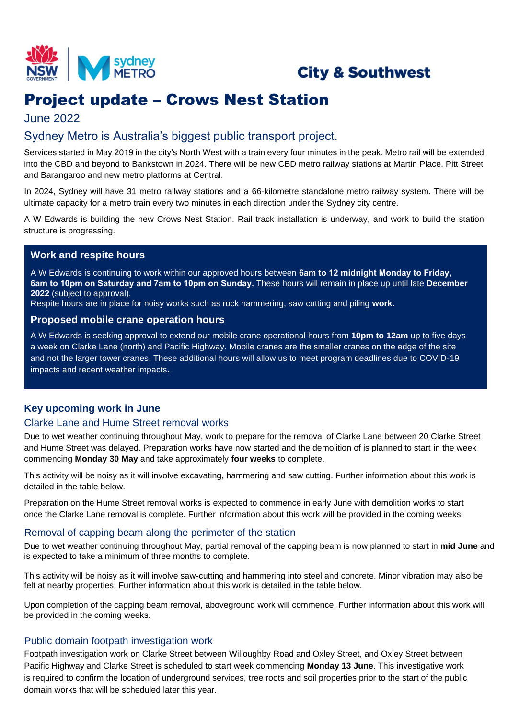

# **City & Southwest**

# Project update – Crows Nest Station

# June 2022

# Sydney Metro is Australia's biggest public transport project.

Services started in May 2019 in the city's North West with a train every four minutes in the peak. Metro rail will be extended into the CBD and beyond to Bankstown in 2024. There will be new CBD metro railway stations at Martin Place, Pitt Street and Barangaroo and new metro platforms at Central.

In 2024, Sydney will have 31 metro railway stations and a 66-kilometre standalone metro railway system. There will be ultimate capacity for a metro train every two minutes in each direction under the Sydney city centre.

A W Edwards is building the new Crows Nest Station. Rail track installation is underway, and work to build the station structure is progressing.

# **Work and respite hours**

A W Edwards is continuing to work within our approved hours between **6am to 12 midnight Monday to Friday, 6am to 10pm on Saturday and 7am to 10pm on Sunday.** These hours will remain in place up until late **December 2022** (subject to approval).

Respite hours are in place for noisy works such as rock hammering, saw cutting and piling **work.** 

#### **Proposed mobile crane operation hours**

A W Edwards is seeking approval to extend our mobile crane operational hours from **10pm to 12am** up to five days a week on Clarke Lane (north) and Pacific Highway. Mobile cranes are the smaller cranes on the edge of the site and not the larger tower cranes. These additional hours will allow us to meet program deadlines due to COVID-19 impacts and recent weather impacts**.** 

## **Key upcoming work in June**

## Clarke Lane and Hume Street removal works

Due to wet weather continuing throughout May, work to prepare for the removal of Clarke Lane between 20 Clarke Street and Hume Street was delayed. Preparation works have now started and the demolition of is planned to start in the week commencing **Monday 30 May** and take approximately **four weeks** to complete.

This activity will be noisy as it will involve excavating, hammering and saw cutting. Further information about this work is detailed in the table below.

Preparation on the Hume Street removal works is expected to commence in early June with demolition works to start once the Clarke Lane removal is complete. Further information about this work will be provided in the coming weeks.

## Removal of capping beam along the perimeter of the station

Due to wet weather continuing throughout May, partial removal of the capping beam is now planned to start in **mid June** and is expected to take a minimum of three months to complete.

This activity will be noisy as it will involve saw-cutting and hammering into steel and concrete. Minor vibration may also be felt at nearby properties. Further information about this work is detailed in the table below.

Upon completion of the capping beam removal, aboveground work will commence. Further information about this work will be provided in the coming weeks.

## Public domain footpath investigation work

Footpath investigation work on Clarke Street between Willoughby Road and Oxley Street, and Oxley Street between Pacific Highway and Clarke Street is scheduled to start week commencing **Monday 13 June**. This investigative work is required to confirm the location of underground services, tree roots and soil properties prior to the start of the public domain works that will be scheduled later this year.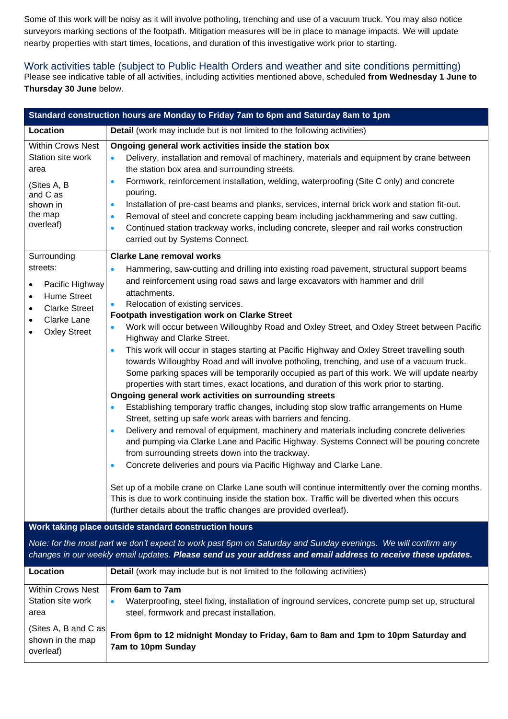Some of this work will be noisy as it will involve potholing, trenching and use of a vacuum truck. You may also notice surveyors marking sections of the footpath. Mitigation measures will be in place to manage impacts. We will update nearby properties with start times, locations, and duration of this investigative work prior to starting.

# Work activities table (subject to Public Health Orders and weather and site conditions permitting)

Please see indicative table of all activities, including activities mentioned above, scheduled **from Wednesday 1 June to Thursday 30 June** below.

| Standard construction hours are Monday to Friday 7am to 6pm and Saturday 8am to 1pm                                                                                                |                                                                                                                                                                                                                                                                                                                                                                                                                                                                                                                                                                                                                                                                                                                                                                                                                                                                                                                                                                                                                                                                                                                                                                                                                                                                                                                                                                                                                                                                                                                                                                                                                                                                                                                                     |  |  |  |  |  |  |  |
|------------------------------------------------------------------------------------------------------------------------------------------------------------------------------------|-------------------------------------------------------------------------------------------------------------------------------------------------------------------------------------------------------------------------------------------------------------------------------------------------------------------------------------------------------------------------------------------------------------------------------------------------------------------------------------------------------------------------------------------------------------------------------------------------------------------------------------------------------------------------------------------------------------------------------------------------------------------------------------------------------------------------------------------------------------------------------------------------------------------------------------------------------------------------------------------------------------------------------------------------------------------------------------------------------------------------------------------------------------------------------------------------------------------------------------------------------------------------------------------------------------------------------------------------------------------------------------------------------------------------------------------------------------------------------------------------------------------------------------------------------------------------------------------------------------------------------------------------------------------------------------------------------------------------------------|--|--|--|--|--|--|--|
| Location                                                                                                                                                                           | Detail (work may include but is not limited to the following activities)                                                                                                                                                                                                                                                                                                                                                                                                                                                                                                                                                                                                                                                                                                                                                                                                                                                                                                                                                                                                                                                                                                                                                                                                                                                                                                                                                                                                                                                                                                                                                                                                                                                            |  |  |  |  |  |  |  |
| <b>Within Crows Nest</b><br>Station site work<br>area<br>(Sites A, B<br>and C as<br>shown in<br>the map<br>overleaf)                                                               | Ongoing general work activities inside the station box<br>Delivery, installation and removal of machinery, materials and equipment by crane between<br>the station box area and surrounding streets.<br>Formwork, reinforcement installation, welding, waterproofing (Site C only) and concrete<br>$\bullet$<br>pouring.<br>Installation of pre-cast beams and planks, services, internal brick work and station fit-out.<br>$\bullet$<br>Removal of steel and concrete capping beam including jackhammering and saw cutting.<br>$\bullet$<br>Continued station trackway works, including concrete, sleeper and rail works construction<br>$\bullet$<br>carried out by Systems Connect.                                                                                                                                                                                                                                                                                                                                                                                                                                                                                                                                                                                                                                                                                                                                                                                                                                                                                                                                                                                                                                             |  |  |  |  |  |  |  |
| Surrounding<br>streets:<br>Pacific Highway<br>$\bullet$<br><b>Hume Street</b><br>$\bullet$<br><b>Clarke Street</b><br>$\bullet$<br>Clarke Lane<br>$\bullet$<br><b>Oxley Street</b> | <b>Clarke Lane removal works</b><br>Hammering, saw-cutting and drilling into existing road pavement, structural support beams<br>$\bullet$<br>and reinforcement using road saws and large excavators with hammer and drill<br>attachments.<br>Relocation of existing services.<br>Footpath investigation work on Clarke Street<br>Work will occur between Willoughby Road and Oxley Street, and Oxley Street between Pacific<br>Highway and Clarke Street.<br>This work will occur in stages starting at Pacific Highway and Oxley Street travelling south<br>$\bullet$<br>towards Willoughby Road and will involve potholing, trenching, and use of a vacuum truck.<br>Some parking spaces will be temporarily occupied as part of this work. We will update nearby<br>properties with start times, exact locations, and duration of this work prior to starting.<br>Ongoing general work activities on surrounding streets<br>Establishing temporary traffic changes, including stop slow traffic arrangements on Hume<br>$\bullet$<br>Street, setting up safe work areas with barriers and fencing.<br>Delivery and removal of equipment, machinery and materials including concrete deliveries<br>$\bullet$<br>and pumping via Clarke Lane and Pacific Highway. Systems Connect will be pouring concrete<br>from surrounding streets down into the trackway.<br>Concrete deliveries and pours via Pacific Highway and Clarke Lane.<br>$\bullet$<br>Set up of a mobile crane on Clarke Lane south will continue intermittently over the coming months.<br>This is due to work continuing inside the station box. Traffic will be diverted when this occurs<br>(further details about the traffic changes are provided overleaf). |  |  |  |  |  |  |  |

#### **Work taking place outside standard construction hours**

*Note: for the most part we don't expect to work past 6pm on Saturday and Sunday evenings. We will confirm any changes in our weekly email updates. Please send us your address and email address to receive these updates.*

| Location                                              | <b>Detail</b> (work may include but is not limited to the following activities)                                                                            |
|-------------------------------------------------------|------------------------------------------------------------------------------------------------------------------------------------------------------------|
| <b>Within Crows Nest</b>                              | From 6am to 7am                                                                                                                                            |
| Station site work<br>area                             | Waterproofing, steel fixing, installation of inground services, concrete pump set up, structural<br>$\bullet$<br>steel, formwork and precast installation. |
| (Sites A, B and C as<br>shown in the map<br>overleaf) | From 6pm to 12 midnight Monday to Friday, 6am to 8am and 1pm to 10pm Saturday and<br><b>7am to 10pm Sunday</b>                                             |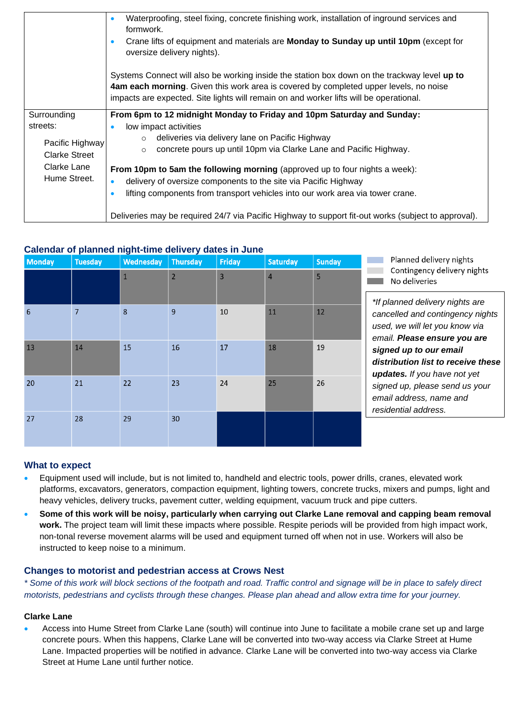|                      | Waterproofing, steel fixing, concrete finishing work, installation of inground services and<br>$\bullet$<br>formwork.            |  |  |  |  |  |  |  |
|----------------------|----------------------------------------------------------------------------------------------------------------------------------|--|--|--|--|--|--|--|
|                      | Crane lifts of equipment and materials are Monday to Sunday up until 10pm (except for<br>$\bullet$<br>oversize delivery nights). |  |  |  |  |  |  |  |
|                      | Systems Connect will also be working inside the station box down on the trackway level up to                                     |  |  |  |  |  |  |  |
|                      | 4am each morning. Given this work area is covered by completed upper levels, no noise                                            |  |  |  |  |  |  |  |
|                      | impacts are expected. Site lights will remain on and worker lifts will be operational.                                           |  |  |  |  |  |  |  |
| Surrounding          | From 6pm to 12 midnight Monday to Friday and 10pm Saturday and Sunday:                                                           |  |  |  |  |  |  |  |
| streets:             | low impact activities<br>$\bullet$                                                                                               |  |  |  |  |  |  |  |
|                      | deliveries via delivery lane on Pacific Highway<br>$\circ$                                                                       |  |  |  |  |  |  |  |
| Pacific Highway      | concrete pours up until 10pm via Clarke Lane and Pacific Highway.<br>$\circ$                                                     |  |  |  |  |  |  |  |
| <b>Clarke Street</b> |                                                                                                                                  |  |  |  |  |  |  |  |
| Clarke Lane          | From 10pm to 5am the following morning (approved up to four nights a week):                                                      |  |  |  |  |  |  |  |
| Hume Street.         | delivery of oversize components to the site via Pacific Highway<br>$\bullet$                                                     |  |  |  |  |  |  |  |
|                      | lifting components from transport vehicles into our work area via tower crane.<br>$\bullet$                                      |  |  |  |  |  |  |  |
|                      | Deliveries may be required 24/7 via Pacific Highway to support fit-out works (subject to approval).                              |  |  |  |  |  |  |  |

# **Calendar of planned night-time delivery dates in June**

| <b>Monday</b> | <b>Tuesday</b> | <b>Wednesday</b> | <b>Thursday</b> | <b>Friday</b>  | <b>Saturday</b> | <b>Sunday</b> | Planned delivery nights<br>Contingency delivery nights<br>No deliveries<br>*If planned delivery nights are<br>cancelled and contingency nights<br>used, we will let you know via<br>email. Please ensure you are<br>signed up to our email<br>distribution list to receive these<br>updates. If you have not yet<br>signed up, please send us your<br>email address, name and<br>residential address. |
|---------------|----------------|------------------|-----------------|----------------|-----------------|---------------|-------------------------------------------------------------------------------------------------------------------------------------------------------------------------------------------------------------------------------------------------------------------------------------------------------------------------------------------------------------------------------------------------------|
|               |                |                  | $\overline{2}$  | $\overline{3}$ | $\overline{4}$  | 5             |                                                                                                                                                                                                                                                                                                                                                                                                       |
|               |                |                  |                 |                |                 |               |                                                                                                                                                                                                                                                                                                                                                                                                       |
| 6             | 7              | 8                | 9               | 10             | 11              | 12            |                                                                                                                                                                                                                                                                                                                                                                                                       |
| 13            | 14             | 15               | 16              | 17             | 18              | 19            |                                                                                                                                                                                                                                                                                                                                                                                                       |
| 20            | 21             | 22               | 23              | 24             | 25              | 26            |                                                                                                                                                                                                                                                                                                                                                                                                       |
| 27            | 28             | 29               | 30              |                |                 |               |                                                                                                                                                                                                                                                                                                                                                                                                       |

## **What to expect**

- Equipment used will include, but is not limited to, handheld and electric tools, power drills, cranes, elevated work platforms, excavators, generators, compaction equipment, lighting towers, concrete trucks, mixers and pumps, light and heavy vehicles, delivery trucks, pavement cutter, welding equipment, vacuum truck and pipe cutters.
- **Some of this work will be noisy, particularly when carrying out Clarke Lane removal and capping beam removal work.** The project team will limit these impacts where possible. Respite periods will be provided from high impact work, non-tonal reverse movement alarms will be used and equipment turned off when not in use. Workers will also be instructed to keep noise to a minimum.

## **Changes to motorist and pedestrian access at Crows Nest**

*\* Some of this work will block sections of the footpath and road. Traffic control and signage will be in place to safely direct motorists, pedestrians and cyclists through these changes. Please plan ahead and allow extra time for your journey.*

#### **Clarke Lane**

• Access into Hume Street from Clarke Lane (south) will continue into June to facilitate a mobile crane set up and large concrete pours. When this happens, Clarke Lane will be converted into two-way access via Clarke Street at Hume Lane. Impacted properties will be notified in advance. Clarke Lane will be converted into two-way access via Clarke Street at Hume Lane until further notice.